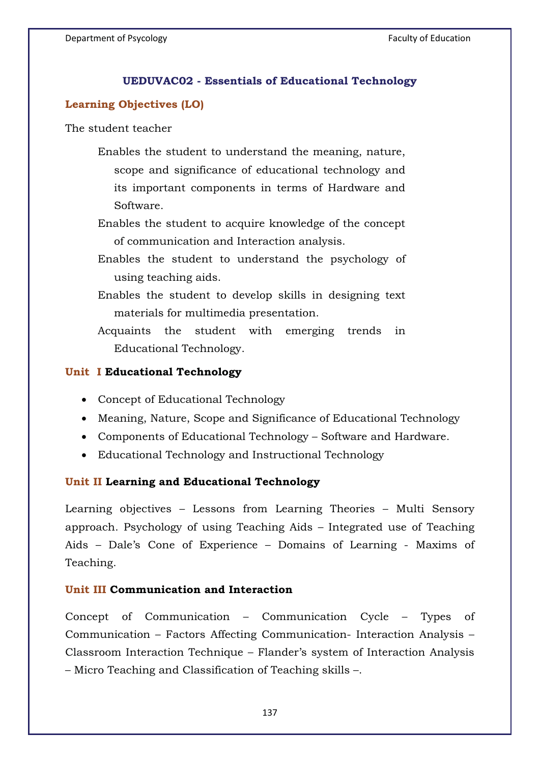## **UEDUVAC02 - Essentials of Educational Technology**

# **Learning Objectives (LO)**

The student teacher

Enables the student to understand the meaning, nature, scope and significance of educational technology and its important components in terms of Hardware and Software.

Enables the student to acquire knowledge of the concept of communication and Interaction analysis.

Enables the student to understand the psychology of using teaching aids.

Enables the student to develop skills in designing text materials for multimedia presentation.

Acquaints the student with emerging trends in Educational Technology.

#### **Unit I Educational Technology**

- Concept of Educational Technology
- Meaning, Nature, Scope and Significance of Educational Technology
- Components of Educational Technology Software and Hardware.
- Educational Technology and Instructional Technology

## **Unit II Learning and Educational Technology**

Learning objectives – Lessons from Learning Theories – Multi Sensory approach. Psychology of using Teaching Aids – Integrated use of Teaching Aids – Dale's Cone of Experience – Domains of Learning - Maxims of Teaching.

# **Unit III Communication and Interaction**

Concept of Communication – Communication Cycle – Types of Communication – Factors Affecting Communication- Interaction Analysis – Classroom Interaction Technique – Flander's system of Interaction Analysis – Micro Teaching and Classification of Teaching skills –.